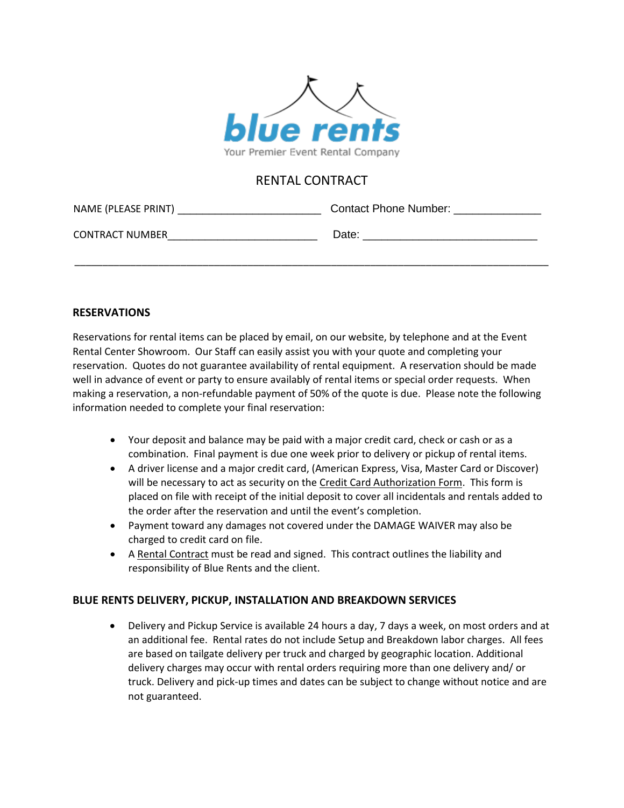

# RENTAL CONTRACT

| NAME (PLEASE PRINT)    | <b>Contact Phone Number:</b> |  |  |
|------------------------|------------------------------|--|--|
| <b>CONTRACT NUMBER</b> | Date:                        |  |  |

\_\_\_\_\_\_\_\_\_\_\_\_\_\_\_\_\_\_\_\_\_\_\_\_\_\_\_\_\_\_\_\_\_\_\_\_\_\_\_\_\_\_\_\_\_\_\_\_\_\_\_\_\_\_\_\_\_\_\_\_\_\_\_\_\_\_\_\_\_\_\_\_\_\_\_\_\_\_\_\_\_\_\_\_\_

#### **RESERVATIONS**

Reservations for rental items can be placed by email, on our website, by telephone and at the Event Rental Center Showroom. Our Staff can easily assist you with your quote and completing your reservation. Quotes do not guarantee availability of rental equipment. A reservation should be made well in advance of event or party to ensure availably of rental items or special order requests. When making a reservation, a non-refundable payment of 50% of the quote is due. Please note the following information needed to complete your final reservation:

- Your deposit and balance may be paid with a major credit card, check or cash or as a combination. Final payment is due one week prior to delivery or pickup of rental items.
- A driver license and a major credit card, (American Express, Visa, Master Card or Discover) will be necessary to act as security on the Credit Card Authorization Form. This form is placed on file with receipt of the initial deposit to cover all incidentals and rentals added to the order after the reservation and until the event's completion.
- Payment toward any damages not covered under the DAMAGE WAIVER may also be charged to credit card on file.
- A Rental Contract must be read and signed. This contract outlines the liability and responsibility of Blue Rents and the client.

### **BLUE RENTS DELIVERY, PICKUP, INSTALLATION AND BREAKDOWN SERVICES**

 Delivery and Pickup Service is available 24 hours a day, 7 days a week, on most orders and at an additional fee. Rental rates do not include Setup and Breakdown labor charges. All fees are based on tailgate delivery per truck and charged by geographic location. Additional delivery charges may occur with rental orders requiring more than one delivery and/ or truck. Delivery and pick-up times and dates can be subject to change without notice and are not guaranteed.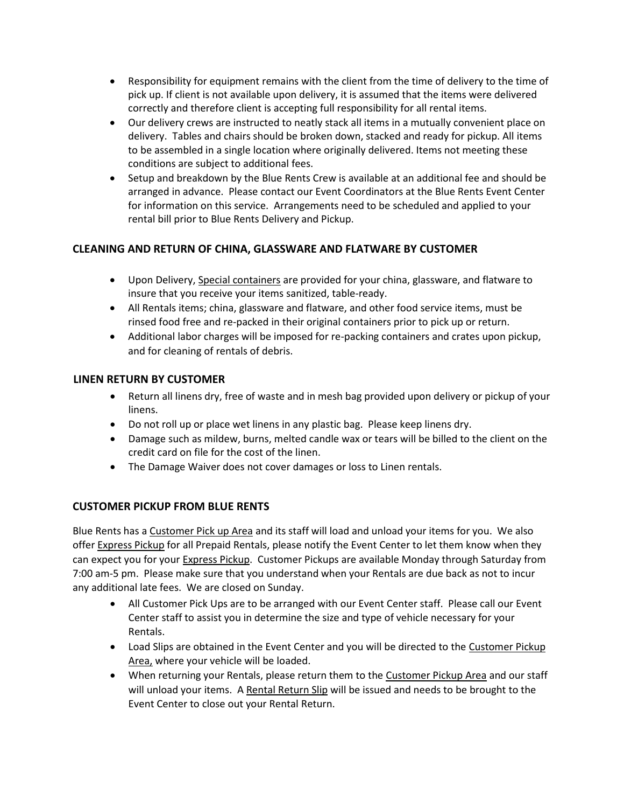- Responsibility for equipment remains with the client from the time of delivery to the time of pick up. If client is not available upon delivery, it is assumed that the items were delivered correctly and therefore client is accepting full responsibility for all rental items.
- Our delivery crews are instructed to neatly stack all items in a mutually convenient place on delivery. Tables and chairs should be broken down, stacked and ready for pickup. All items to be assembled in a single location where originally delivered. Items not meeting these conditions are subject to additional fees.
- Setup and breakdown by the Blue Rents Crew is available at an additional fee and should be arranged in advance. Please contact our Event Coordinators at the Blue Rents Event Center for information on this service. Arrangements need to be scheduled and applied to your rental bill prior to Blue Rents Delivery and Pickup.

# **CLEANING AND RETURN OF CHINA, GLASSWARE AND FLATWARE BY CUSTOMER**

- Upon Delivery, Special containers are provided for your china, glassware, and flatware to insure that you receive your items sanitized, table-ready.
- All Rentals items; china, glassware and flatware, and other food service items, must be rinsed food free and re-packed in their original containers prior to pick up or return.
- Additional labor charges will be imposed for re-packing containers and crates upon pickup, and for cleaning of rentals of debris.

## **LINEN RETURN BY CUSTOMER**

- Return all linens dry, free of waste and in mesh bag provided upon delivery or pickup of your linens.
- Do not roll up or place wet linens in any plastic bag. Please keep linens dry.
- Damage such as mildew, burns, melted candle wax or tears will be billed to the client on the credit card on file for the cost of the linen.
- The Damage Waiver does not cover damages or loss to Linen rentals.

### **CUSTOMER PICKUP FROM BLUE RENTS**

Blue Rents has a Customer Pick up Area and its staff will load and unload your items for you. We also offer Express Pickup for all Prepaid Rentals, please notify the Event Center to let them know when they can expect you for your Express Pickup. Customer Pickups are available Monday through Saturday from 7:00 am-5 pm. Please make sure that you understand when your Rentals are due back as not to incur any additional late fees. We are closed on Sunday.

- All Customer Pick Ups are to be arranged with our Event Center staff. Please call our Event Center staff to assist you in determine the size and type of vehicle necessary for your Rentals.
- Load Slips are obtained in the Event Center and you will be directed to the Customer Pickup Area, where your vehicle will be loaded.
- When returning your Rentals, please return them to the **Customer Pickup Area** and our staff will unload your items. A Rental Return Slip will be issued and needs to be brought to the Event Center to close out your Rental Return.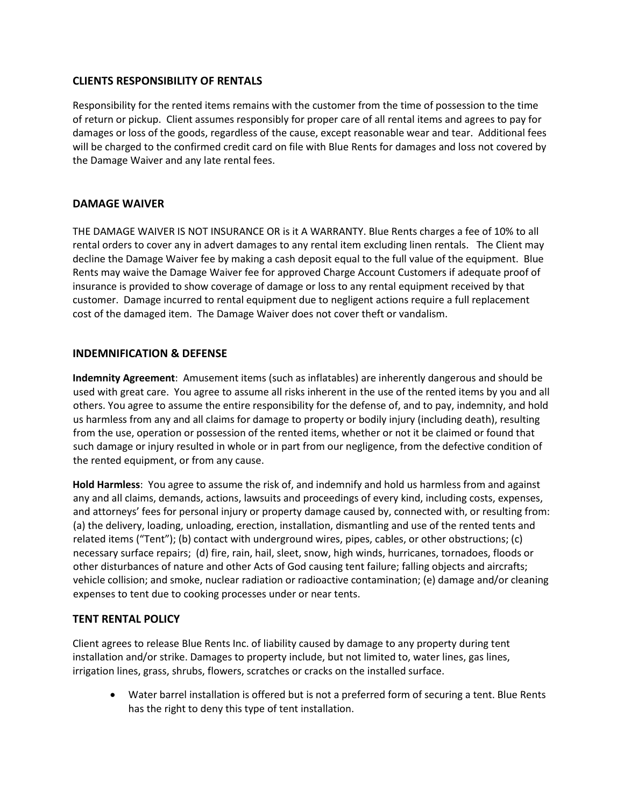#### **CLIENTS RESPONSIBILITY OF RENTALS**

Responsibility for the rented items remains with the customer from the time of possession to the time of return or pickup. Client assumes responsibly for proper care of all rental items and agrees to pay for damages or loss of the goods, regardless of the cause, except reasonable wear and tear. Additional fees will be charged to the confirmed credit card on file with Blue Rents for damages and loss not covered by the Damage Waiver and any late rental fees.

#### **DAMAGE WAIVER**

THE DAMAGE WAIVER IS NOT INSURANCE OR is it A WARRANTY. Blue Rents charges a fee of 10% to all rental orders to cover any in advert damages to any rental item excluding linen rentals. The Client may decline the Damage Waiver fee by making a cash deposit equal to the full value of the equipment. Blue Rents may waive the Damage Waiver fee for approved Charge Account Customers if adequate proof of insurance is provided to show coverage of damage or loss to any rental equipment received by that customer. Damage incurred to rental equipment due to negligent actions require a full replacement cost of the damaged item. The Damage Waiver does not cover theft or vandalism.

### **INDEMNIFICATION & DEFENSE**

**Indemnity Agreement**: Amusement items (such as inflatables) are inherently dangerous and should be used with great care. You agree to assume all risks inherent in the use of the rented items by you and all others. You agree to assume the entire responsibility for the defense of, and to pay, indemnity, and hold us harmless from any and all claims for damage to property or bodily injury (including death), resulting from the use, operation or possession of the rented items, whether or not it be claimed or found that such damage or injury resulted in whole or in part from our negligence, from the defective condition of the rented equipment, or from any cause.

**Hold Harmless**: You agree to assume the risk of, and indemnify and hold us harmless from and against any and all claims, demands, actions, lawsuits and proceedings of every kind, including costs, expenses, and attorneys' fees for personal injury or property damage caused by, connected with, or resulting from: (a) the delivery, loading, unloading, erection, installation, dismantling and use of the rented tents and related items ("Tent"); (b) contact with underground wires, pipes, cables, or other obstructions; (c) necessary surface repairs; (d) fire, rain, hail, sleet, snow, high winds, hurricanes, tornadoes, floods or other disturbances of nature and other Acts of God causing tent failure; falling objects and aircrafts; vehicle collision; and smoke, nuclear radiation or radioactive contamination; (e) damage and/or cleaning expenses to tent due to cooking processes under or near tents.

### **TENT RENTAL POLICY**

Client agrees to release Blue Rents Inc. of liability caused by damage to any property during tent installation and/or strike. Damages to property include, but not limited to, water lines, gas lines, irrigation lines, grass, shrubs, flowers, scratches or cracks on the installed surface.

 Water barrel installation is offered but is not a preferred form of securing a tent. Blue Rents has the right to deny this type of tent installation.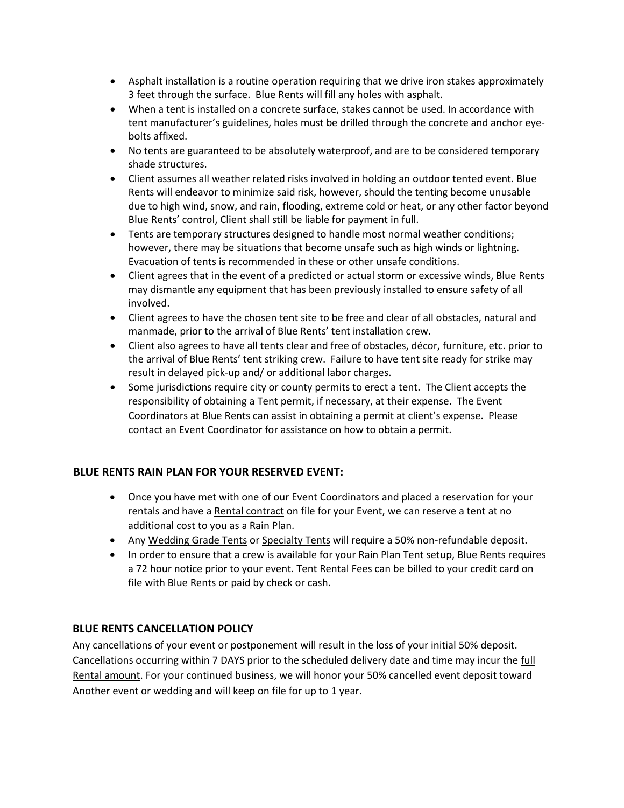- Asphalt installation is a routine operation requiring that we drive iron stakes approximately 3 feet through the surface. Blue Rents will fill any holes with asphalt.
- When a tent is installed on a concrete surface, stakes cannot be used. In accordance with tent manufacturer's guidelines, holes must be drilled through the concrete and anchor eyebolts affixed.
- No tents are guaranteed to be absolutely waterproof, and are to be considered temporary shade structures.
- Client assumes all weather related risks involved in holding an outdoor tented event. Blue Rents will endeavor to minimize said risk, however, should the tenting become unusable due to high wind, snow, and rain, flooding, extreme cold or heat, or any other factor beyond Blue Rents' control, Client shall still be liable for payment in full.
- Tents are temporary structures designed to handle most normal weather conditions; however, there may be situations that become unsafe such as high winds or lightning. Evacuation of tents is recommended in these or other unsafe conditions.
- Client agrees that in the event of a predicted or actual storm or excessive winds, Blue Rents may dismantle any equipment that has been previously installed to ensure safety of all involved.
- Client agrees to have the chosen tent site to be free and clear of all obstacles, natural and manmade, prior to the arrival of Blue Rents' tent installation crew.
- Client also agrees to have all tents clear and free of obstacles, décor, furniture, etc. prior to the arrival of Blue Rents' tent striking crew. Failure to have tent site ready for strike may result in delayed pick-up and/ or additional labor charges.
- Some jurisdictions require city or county permits to erect a tent. The Client accepts the responsibility of obtaining a Tent permit, if necessary, at their expense. The Event Coordinators at Blue Rents can assist in obtaining a permit at client's expense. Please contact an Event Coordinator for assistance on how to obtain a permit.

### **BLUE RENTS RAIN PLAN FOR YOUR RESERVED EVENT:**

- Once you have met with one of our Event Coordinators and placed a reservation for your rentals and have a Rental contract on file for your Event, we can reserve a tent at no additional cost to you as a Rain Plan.
- Any Wedding Grade Tents or Specialty Tents will require a 50% non-refundable deposit.
- In order to ensure that a crew is available for your Rain Plan Tent setup, Blue Rents requires a 72 hour notice prior to your event. Tent Rental Fees can be billed to your credit card on file with Blue Rents or paid by check or cash.

### **BLUE RENTS CANCELLATION POLICY**

Any cancellations of your event or postponement will result in the loss of your initial 50% deposit. Cancellations occurring within 7 DAYS prior to the scheduled delivery date and time may incur the full Rental amount. For your continued business, we will honor your 50% cancelled event deposit toward Another event or wedding and will keep on file for up to 1 year.